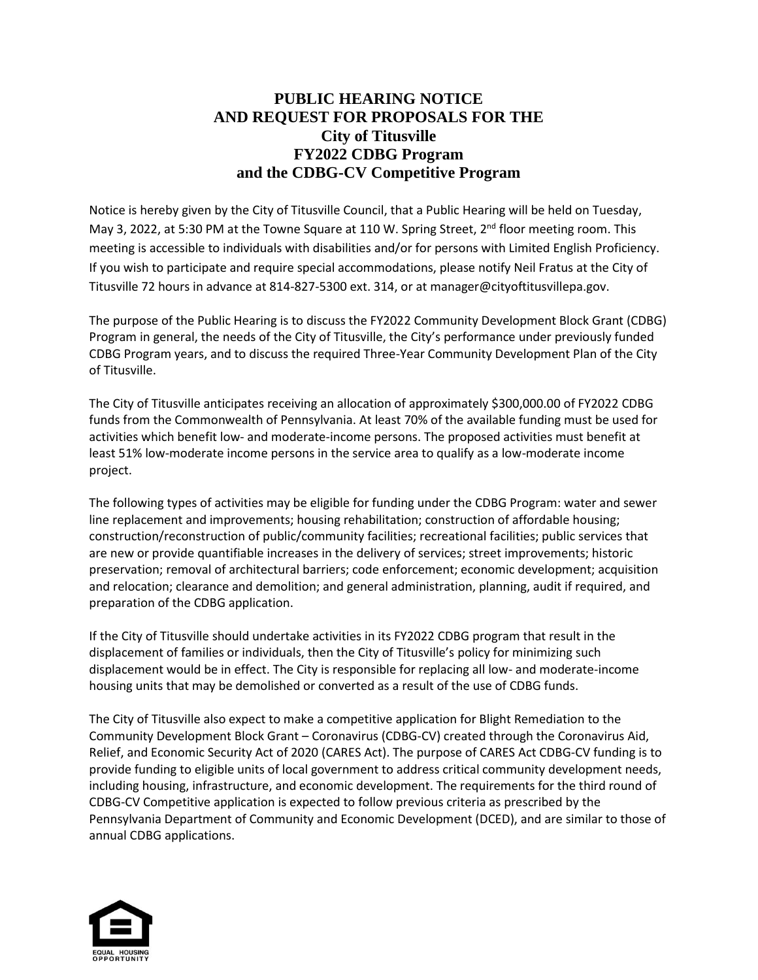## **PUBLIC HEARING NOTICE AND REQUEST FOR PROPOSALS FOR THE City of Titusville FY2022 CDBG Program and the CDBG-CV Competitive Program**

Notice is hereby given by the City of Titusville Council, that a Public Hearing will be held on Tuesday, May 3, 2022, at 5:30 PM at the Towne Square at 110 W. Spring Street, 2<sup>nd</sup> floor meeting room. This meeting is accessible to individuals with disabilities and/or for persons with Limited English Proficiency. If you wish to participate and require special accommodations, please notify Neil Fratus at the City of Titusville 72 hours in advance at 814-827-5300 ext. 314, or at manager@cityoftitusvillepa.gov.

The purpose of the Public Hearing is to discuss the FY2022 Community Development Block Grant (CDBG) Program in general, the needs of the City of Titusville, the City's performance under previously funded CDBG Program years, and to discuss the required Three-Year Community Development Plan of the City of Titusville.

The City of Titusville anticipates receiving an allocation of approximately \$300,000.00 of FY2022 CDBG funds from the Commonwealth of Pennsylvania. At least 70% of the available funding must be used for activities which benefit low- and moderate-income persons. The proposed activities must benefit at least 51% low-moderate income persons in the service area to qualify as a low-moderate income project.

The following types of activities may be eligible for funding under the CDBG Program: water and sewer line replacement and improvements; housing rehabilitation; construction of affordable housing; construction/reconstruction of public/community facilities; recreational facilities; public services that are new or provide quantifiable increases in the delivery of services; street improvements; historic preservation; removal of architectural barriers; code enforcement; economic development; acquisition and relocation; clearance and demolition; and general administration, planning, audit if required, and preparation of the CDBG application.

If the City of Titusville should undertake activities in its FY2022 CDBG program that result in the displacement of families or individuals, then the City of Titusville's policy for minimizing such displacement would be in effect. The City is responsible for replacing all low- and moderate-income housing units that may be demolished or converted as a result of the use of CDBG funds.

The City of Titusville also expect to make a competitive application for Blight Remediation to the Community Development Block Grant – Coronavirus (CDBG-CV) created through the Coronavirus Aid, Relief, and Economic Security Act of 2020 (CARES Act). The purpose of CARES Act CDBG-CV funding is to provide funding to eligible units of local government to address critical community development needs, including housing, infrastructure, and economic development. The requirements for the third round of CDBG-CV Competitive application is expected to follow previous criteria as prescribed by the Pennsylvania Department of Community and Economic Development (DCED), and are similar to those of annual CDBG applications.